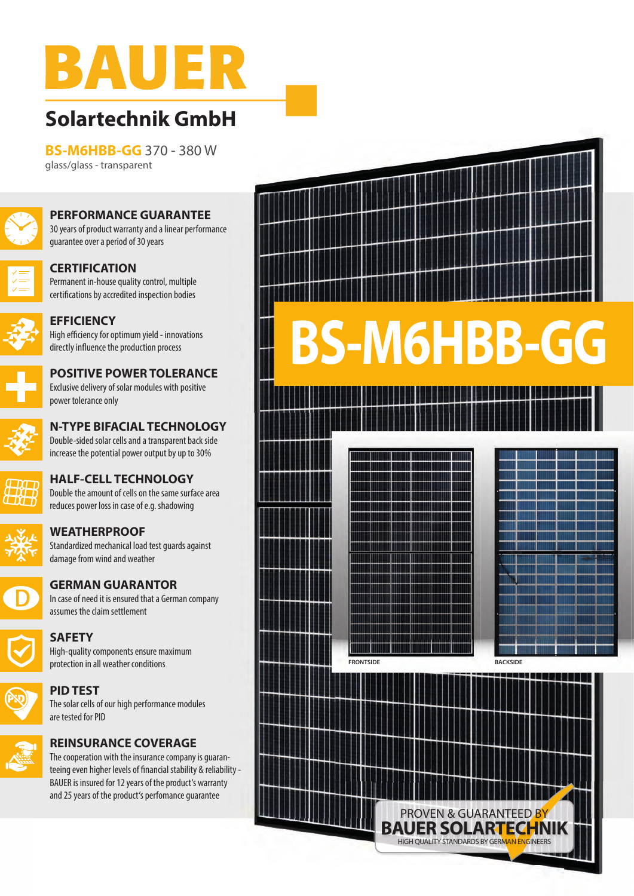

## **Solartechnik GmbH**

**BS-M6HBB-GG** 370 - 380 W glass/glass - transparent



**PERFORMANCE GUARANTEE** 30 years of product warranty and a linear performance guarantee over a period of 30 years



**CERTIFICATION** Permanent in-house quality control, multiple certifications by accredited inspection bodies



**EFFICIENCY** High efficiency for optimum yield - innovations directly influence the production process



**N-TYPE BIFACIAL TECHNOLOGY** Double-sided solar cells and a transparent back side increase the potential power output by up to 30%

**POSITIVE POWER TOLERANCE**



**HALF-CELL TECHNOLOGY** Double the amount of cells on the same surface area reduces power loss in case of e.g. shadowing



**WEATHERPROOF**

power tolerance only

Standardized mechanical load test guards against damage from wind and weather



**GERMAN GUARANTOR** In case of need it is ensured that a German company





**SAFETY** High-quality components ensure maximum protection in all weather conditions



**PID TEST** The solar cells of our high performance modules are tested for PID



The cooperation with the insurance company is guaranteeing even higher levels of financial stability & reliability - BAUER is insured for 12 years of the product's warranty and 25 years of the product's perfomance guarantee